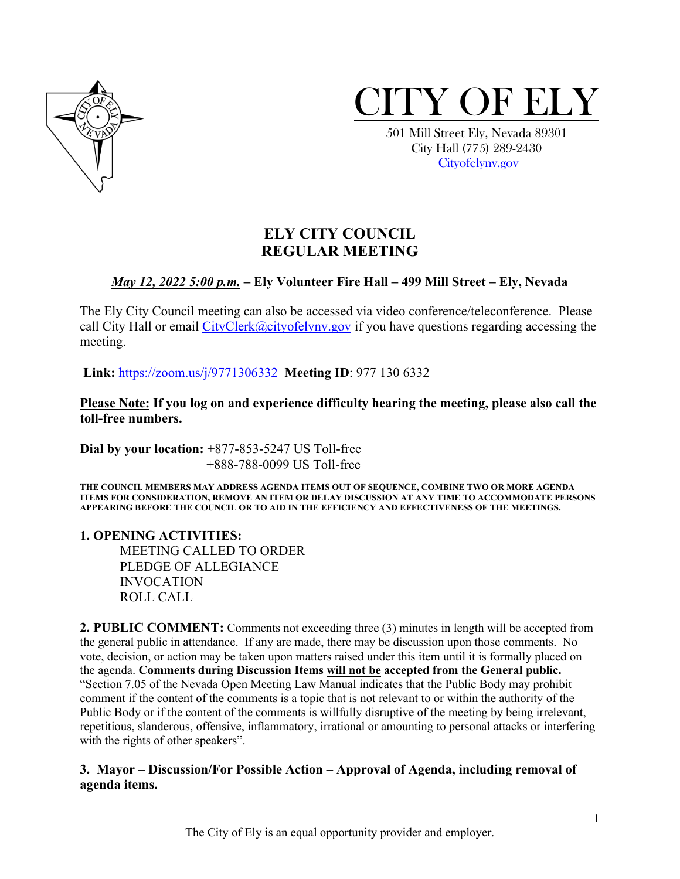



 City Hall (775) 289-2430 [Cityofelynv.gov](mailto:Cityofelynv.gov)

## **ELY CITY COUNCIL REGULAR MEETING**

### *May 12, 2022 5:00 p.m.* **– Ely Volunteer Fire Hall – 499 Mill Street – Ely, Nevada**

The Ely City Council meeting can also be accessed via video conference/teleconference. Please call City Hall or email  $CityClerk@cityofelynv.gov$  if you have questions regarding accessing the meeting.

**Link:** [https://zoom.us/j/9771306332](https://zoom.us/j/9771306332?status=success) **Meeting ID**: 977 130 6332

**Please Note: If you log on and experience difficulty hearing the meeting, please also call the toll-free numbers.** 

**Dial by your location:** +877-853-5247 US Toll-free +888-788-0099 US Toll-free

**THE COUNCIL MEMBERS MAY ADDRESS AGENDA ITEMS OUT OF SEQUENCE, COMBINE TWO OR MORE AGENDA ITEMS FOR CONSIDERATION, REMOVE AN ITEM OR DELAY DISCUSSION AT ANY TIME TO ACCOMMODATE PERSONS APPEARING BEFORE THE COUNCIL OR TO AID IN THE EFFICIENCY AND EFFECTIVENESS OF THE MEETINGS.**

**1. OPENING ACTIVITIES:** 

MEETING CALLED TO ORDER PLEDGE OF ALLEGIANCE INVOCATION ROLL CALL

**2. PUBLIC COMMENT:** Comments not exceeding three (3) minutes in length will be accepted from the general public in attendance. If any are made, there may be discussion upon those comments. No vote, decision, or action may be taken upon matters raised under this item until it is formally placed on the agenda. **Comments during Discussion Items will not be accepted from the General public.**  "Section 7.05 of the Nevada Open Meeting Law Manual indicates that the Public Body may prohibit comment if the content of the comments is a topic that is not relevant to or within the authority of the Public Body or if the content of the comments is willfully disruptive of the meeting by being irrelevant, repetitious, slanderous, offensive, inflammatory, irrational or amounting to personal attacks or interfering with the rights of other speakers".

#### **3. Mayor – Discussion/For Possible Action – Approval of Agenda, including removal of agenda items.**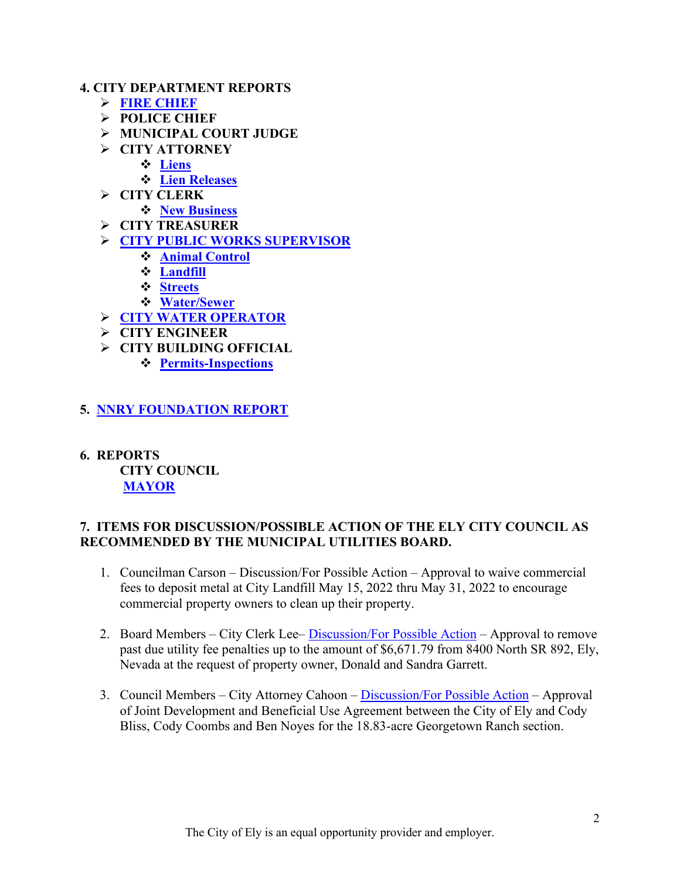#### **4. CITY DEPARTMENT REPORTS**

- **[FIRE CHIEF](https://www.cityofelynv.gov/pdf/CityCouncil2022/cc5-12-22/Firechiefapril22report.pdf)**
- **POLICE CHIEF**
- **MUNICIPAL COURT JUDGE**
- **CITY ATTORNEY**
	- **[Liens](https://www.cityofelynv.gov/pdf/CityCouncil2022/cc5-12-22/April22liens.pdf)**
	- **[Lien Releases](https://www.cityofelynv.gov/pdf/CityCouncil2022/cc5-12-22/lienreleasesapril22.pdf)**
- **CITY CLERK**
	- **[New Business](https://www.cityofelynv.gov/pdf/CityCouncil2022/cc5-12-22/newbusinessesapril22.pdf)**
- **CITY TREASURER**
- **[CITY PUBLIC WORKS SUPERVISOR](https://www.cityofelynv.gov/pdf/CityCouncil2022/cc5-12-22/PublicworksApril22report.pdf)** 
	- **[Animal Control](https://www.cityofelynv.gov/pdf/CityCouncil2022/cc5-12-22/animalcontrolapril22report.pdf)**
	- **[Landfill](https://www.cityofelynv.gov/pdf/CityCouncil2022/cc5-12-22/landfillapril22report.pdf)**
	- **[Streets](https://www.cityofelynv.gov/pdf/CityCouncil2022/cc5-12-22/Streetsdeptapril22report.pdf)**
	- **[Water/Sewer](https://www.cityofelynv.gov/pdf/CityCouncil2022/cc5-12-22/water-seweraprilreport22.pdf)**
- **[CITY WATER OPERATOR](https://www.cityofelynv.gov/pdf/CityCouncil2022/cc5-12-22/wateroperatorreportapril22.pdf)**
- **CITY ENGINEER**
- **CITY BUILDING OFFICIAL**
	- **[Permits-Inspections](https://www.cityofelynv.gov/pdf/CityCouncil2022/cc5-12-22/buildingdeptapril22report.pdf)**

### **5. [NNRY FOUNDATION REPORT](https://www.cityofelynv.gov/pdf/CityCouncil2022/cc5-12-22/nnryapril22report.pdf)**

**6. REPORTS CITY COUNCIL [MAYOR](https://www.cityofelynv.gov/pdf/CityCouncil2022/cc5-12-22/MayorsRpt5-12-22.pdf)**

#### **7. ITEMS FOR DISCUSSION/POSSIBLE ACTION OF THE ELY CITY COUNCIL AS RECOMMENDED BY THE MUNICIPAL UTILITIES BOARD.**

- 1. Councilman Carson Discussion/For Possible Action Approval to waive commercial fees to deposit metal at City Landfill May 15, 2022 thru May 31, 2022 to encourage commercial property owners to clean up their property.
- 2. Board Members City Clerk Lee– **Discussion/For Possible Action** Approval to remove past due utility fee penalties up to the amount of \$6,671.79 from 8400 North SR 892, Ely, Nevada at the request of property owner, Donald and Sandra Garrett.
- 3. Council Members City Attorney Cahoon – [Discussion/For Possible Action](https://www.cityofelynv.gov/pdf/CityCouncil2022/cc5-12-22/BlissCoombsNoyesGeorgetownLeaseDraft.pdf)  Approval of Joint Development and Beneficial Use Agreement between the City of Ely and Cody Bliss, Cody Coombs and Ben Noyes for the 18.83-acre Georgetown Ranch section.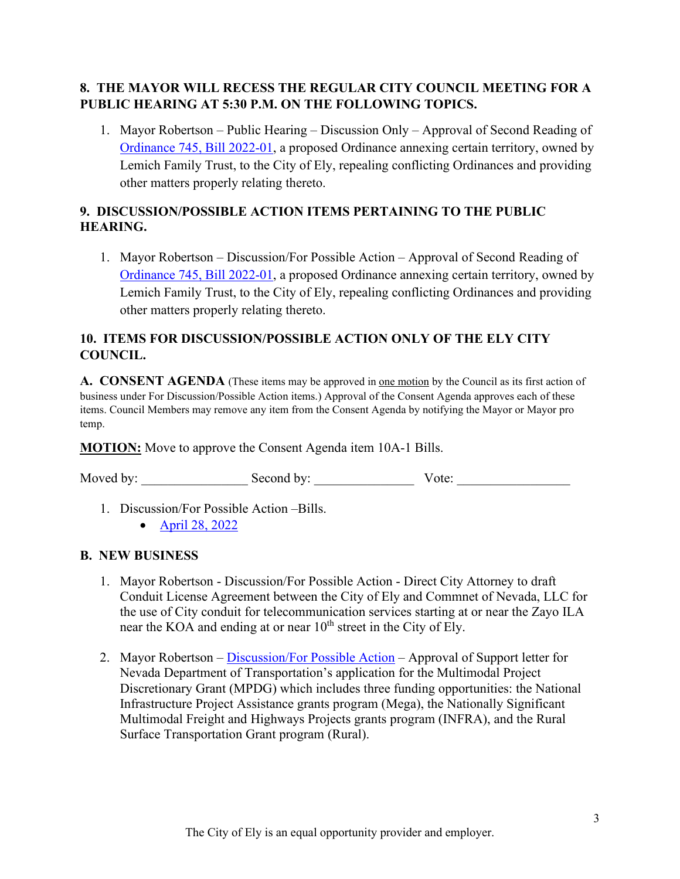## **8. THE MAYOR WILL RECESS THE REGULAR CITY COUNCIL MEETING FOR A PUBLIC HEARING AT 5:30 P.M. ON THE FOLLOWING TOPICS.**

1. Mayor Robertson – Public Hearing – Discussion Only – Approval of Second Reading of [Ordinance 745, Bill 2022-01,](ftp://adminassist%2540cityofelynv.gov@ftp.cityofelynv.gov/pdf/CityCouncil2022/cc5-12-22/Ord.745LemichFamilyTrustAnnexationOrdinance.pdf) a proposed Ordinance annexing certain territory, owned by Lemich Family Trust, to the City of Ely, repealing conflicting Ordinances and providing other matters properly relating thereto.

## **9. DISCUSSION/POSSIBLE ACTION ITEMS PERTAINING TO THE PUBLIC HEARING.**

1. Mayor Robertson – Discussion/For Possible Action – Approval of Second Reading of [Ordinance 745, Bill 2022-01,](ftp://adminassist%2540cityofelynv.gov@ftp.cityofelynv.gov/pdf/CityCouncil2022/cc5-12-22/Ord.745LemichFamilyTrustAnnexationOrdinance.pdf) a proposed Ordinance annexing certain territory, owned by Lemich Family Trust, to the City of Ely, repealing conflicting Ordinances and providing other matters properly relating thereto.

## **10. ITEMS FOR DISCUSSION/POSSIBLE ACTION ONLY OF THE ELY CITY COUNCIL.**

**A. CONSENT AGENDA** (These items may be approved in one motion by the Council as its first action of business under For Discussion/Possible Action items.) Approval of the Consent Agenda approves each of these items. Council Members may remove any item from the Consent Agenda by notifying the Mayor or Mayor pro temp.

**MOTION:** Move to approve the Consent Agenda item 10A-1 Bills.

Moved by: \_\_\_\_\_\_\_\_\_\_\_\_\_\_\_\_ Second by: \_\_\_\_\_\_\_\_\_\_\_\_\_\_\_ Vote: \_\_\_\_\_\_\_\_\_\_\_\_\_\_\_\_\_

1. Discussion/For Possible Action –Bills.

• [April 28, 2022](https://www.cityofelynv.gov/pdf/CityCouncil2022/cc5-12-22/cc4-28-22bills.pdf)

#### **B. NEW BUSINESS**

- 1. Mayor Robertson Discussion/For Possible Action Direct City Attorney to draft Conduit License Agreement between the City of Ely and Commnet of Nevada, LLC for the use of City conduit for telecommunication services starting at or near the Zayo ILA near the KOA and ending at or near  $10^{th}$  street in the City of Ely.
- 2. Mayor Robertson – [Discussion/For Possible Action](https://www.cityofelynv.gov/pdf/CityCouncil2022/cc5-12-22/NDOT-MPDGsupportletter.pdf)  Approval of Support letter for Nevada Department of Transportation's application for the Multimodal Project Discretionary Grant (MPDG) which includes three funding opportunities: the National Infrastructure Project Assistance grants program (Mega), the Nationally Significant Multimodal Freight and Highways Projects grants program (INFRA), and the Rural Surface Transportation Grant program (Rural).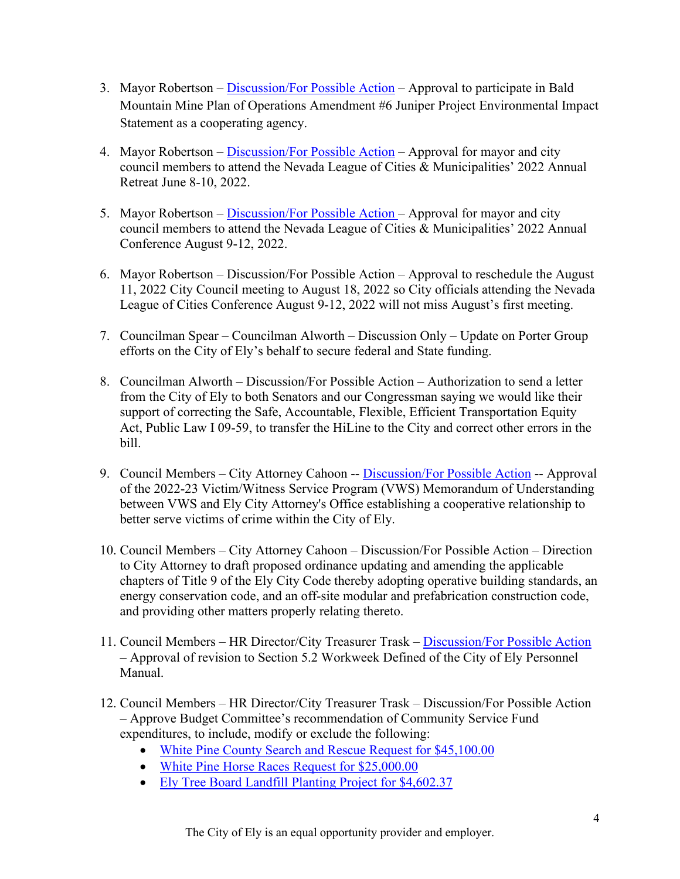- 3. Mayor Robertson – [Discussion/For Possible Action](https://www.cityofelynv.gov/pdf/CityCouncil2022/cc5-12-22/4-14-22ccminutes-baldmountainexpcooperatingagency.pdf)  Approval to participate in Bald Mountain Mine Plan of Operations Amendment #6 Juniper Project Environmental Impact Statement as a cooperating agency.
- 4. Mayor Robertson – [Discussion/For Possible Action](https://www.cityofelynv.gov/pdf/CityCouncil2022/cc5-12-22/Leagueretreat2022.pdf)  Approval for mayor and city council members to attend the Nevada League of Cities & Municipalities' 2022 Annual Retreat June 8-10, 2022.
- 5. Mayor Robertson – [Discussion/For Possible Action](https://www.cityofelynv.gov/pdf/CityCouncil2022/cc5-12-22/Leagueconference22.pdf) Approval for mayor and city council members to attend the Nevada League of Cities & Municipalities' 2022 Annual Conference August 9-12, 2022.
- 6. Mayor Robertson Discussion/For Possible Action Approval to reschedule the August 11, 2022 City Council meeting to August 18, 2022 so City officials attending the Nevada League of Cities Conference August 9-12, 2022 will not miss August's first meeting.
- 7. Councilman Spear Councilman Alworth Discussion Only Update on Porter Group efforts on the City of Ely's behalf to secure federal and State funding.
- 8. Councilman Alworth Discussion/For Possible Action Authorization to send a letter from the City of Ely to both Senators and our Congressman saying we would like their support of correcting the Safe, Accountable, Flexible, Efficient Transportation Equity Act, Public Law I 09-59, to transfer the HiLine to the City and correct other errors in the bill.
- 9. Council Members City Attorney Cahoon -- [Discussion/For Possible Action](https://www.cityofelynv.gov/pdf/CityCouncil2022/cc5-12-22/MOU2022-23VWS.pdf) -- Approval of the 2022-23 Victim/Witness Service Program (VWS) Memorandum of Understanding between VWS and Ely City Attorney's Office establishing a cooperative relationship to better serve victims of crime within the City of Ely.
- 10. Council Members City Attorney Cahoon Discussion/For Possible Action Direction to City Attorney to draft proposed ordinance updating and amending the applicable chapters of Title 9 of the Ely City Code thereby adopting operative building standards, an energy conservation code, and an off-site modular and prefabrication construction code, and providing other matters properly relating thereto.
- 11. Council Members HR Director/City Treasurer Trask – [Discussion/For Possible Action](https://www.cityofelynv.gov/pdf/CityCouncil2022/cc5-12-22/workweekwordingpersonelfile.pdf) – Approval of revision to Section 5.2 Workweek Defined of the City of Ely Personnel Manual.
- 12. Council Members HR Director/City Treasurer Trask Discussion/For Possible Action – Approve Budget Committee's recommendation of Community Service Fund expenditures, to include, modify or exclude the following:
	- [White Pine County Search and Rescue Request for \\$45,100.00](https://www.cityofelynv.gov/pdf/CityCouncil2022/cc5-12-22/fundingrequestsearchandrescue.pdf)
	- [White Pine Horse Races](https://www.cityofelynv.gov/pdf/CityCouncil2022/cc5-12-22/fundingrequesthorseraces.pdf) Request for \$25,000.00
	- [Ely Tree Board Landfill Planting Project for \\$4,602.37](https://www.cityofelynv.gov/pdf/CityCouncil2022/cc5-12-22/landfilltreeprojectbudget.pdf)